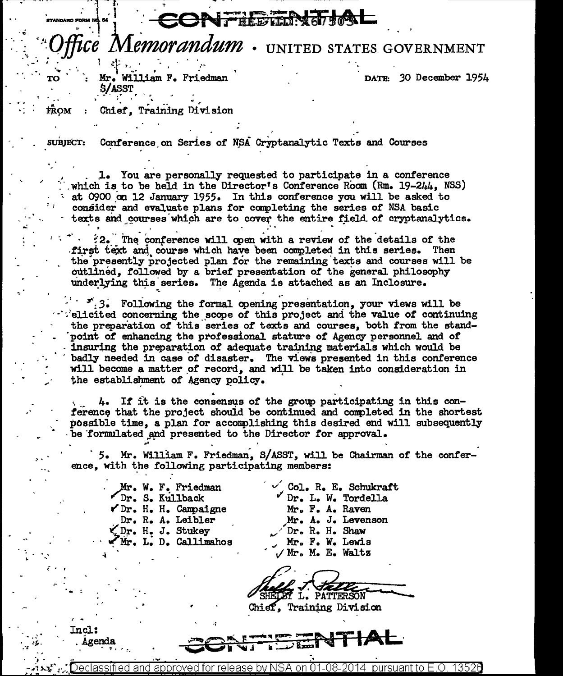### ice Memorandum UNITED STATES GOVERNMENT

Mr. William F. Friedman S/ASST

DATE: 30 December 1954

Chief, Training Division **FROM** 

Conference on Series of NSA Cryptanalytic Texts and Courses SUBJECT:

1. You are personally requested to participate in a conference which is to be held in the Director's Conference Room (Rm. 19-244. NSS) at 0900 on 12 January 1955. In this conference you will be asked to consider and evaluate plans for completing the series of NSA basic texts and courses which are to cover the entire field of cryptanalytics.

 $2.$  The conference will open with a review of the details of the first text and course which have been completed in this series. Then the presently projected plan for the remaining texts and courses will be outlined, followed by a brief presentation of the general philosophy underlying this series. The Agenda is attached as an Inclosure.

elicited concerning the scope of this project and the value of continuing the preparation of this series of texts and courses, both from the standpoint of enhancing the professional stature of Agency personnel and of insuring the preparation of adequate training materials which would be badly needed in case of disaster. The views presented in this conference will become a matter of record, and will be taken into consideration in the establishment of Agency policy.

4. If it is the consensus of the group participating in this conference that the project should be continued and completed in the shortest possible time, a plan for accomplishing this desired end will subsequently be formulated and presented to the Director for approval.

5. Mr. William F. Friedman, S/ASST, will be Chairman of the conference, with the following participating members:

Mr. W. F. Friedman Dr. S. Kullback P'Dr. H. H. Campaigne Dr. R. A. Leibler  $\sim$  Dr. H. J. Stukey Mr. L. D. Callimahos

**Incl:** Agenda  $\check{C}$  Col. R. E. Schukraft " Dr. L. W. Tordella Mr. F. A. Raven Mr. A. J. Levenson Dr. R. H. Shaw Mr. F. W. Lewis Mr. M. E. Waltz

**ET L. PATTERSON** 

Chief. Training Division

2014  $\,$ pursuant to E.O. 135 $20$ Declassified and approved for release by NSA on 01-08-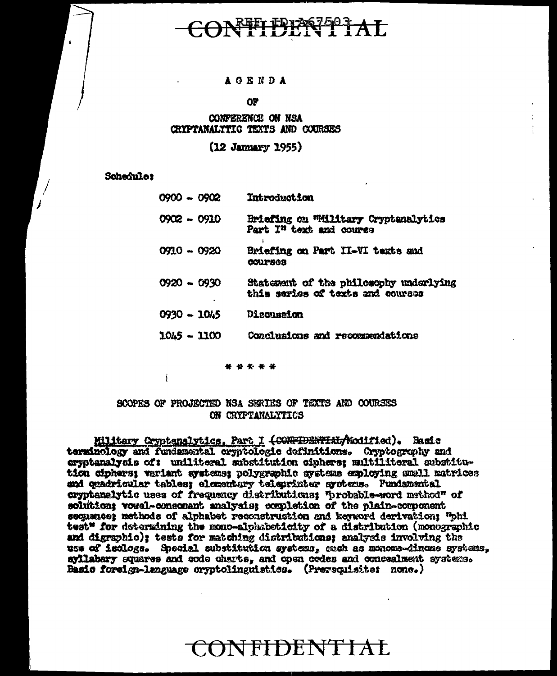# r Taras

### **AGENDA**

OP

### CONFERENCE ON NSA CRYPTANALYTIC TEXTS AND COURSES

(12 January 1955)

 $\mathbb{R}^2$  . The set

### Schafular

 $\mathbf{I}$ 

| 0900 - 0902<br>$0902 - 0910$<br>0910 - 0920<br>0920 - 0930<br>0930 - 1045 | Introduction<br>Briefing on Willitary Cryptanalytics<br>Part I" text and course<br>Briefing on Part II-VI texts and<br><b>CCA1PEGS</b><br>Statement of the philosophy underlying<br>this sarles of texts and courses<br><b>Discussion</b> |               |                                 |
|---------------------------------------------------------------------------|-------------------------------------------------------------------------------------------------------------------------------------------------------------------------------------------------------------------------------------------|---------------|---------------------------------|
|                                                                           |                                                                                                                                                                                                                                           | $1045 - 1100$ | Conclusions and recommendations |

#### . . . . .

### SCOPES OF PROJECTED NSA SERIES OF TEXTS AND COURSES ON CRYPTANALYTICS

Military Cryptenslytics, Part I (CONFIDENTIAL/Modified). Basic terminology and fundamental cryptologic definitions. Cryptography and cryptenalysis of: uniliteral substitution ciphers: multiliteral substitution oiphers; variant systems; polygraphic systems exploying small matrices and quadricular tables; elementary teleprinter systems, Fundamental cryptenelytic uses of frequency distributions: "probable-word method" of solution; vosel-consonant analysis; completion of the plain-component secuence: methods of alphabet reconstruction and keyword derivation; "phi test" for determining the mono-alphabeticity of a distribution (monographic and digraphic); tests for matching distributions; analysis involving the use of isologs. Special substitution systems, such as monome-dinome systems, syllabary squares and oode charts. and open codes and concealment systems. Basic foreign-language cryptolinguistics. (Prerscuisite: none.)

## **ENFIDENTIAL**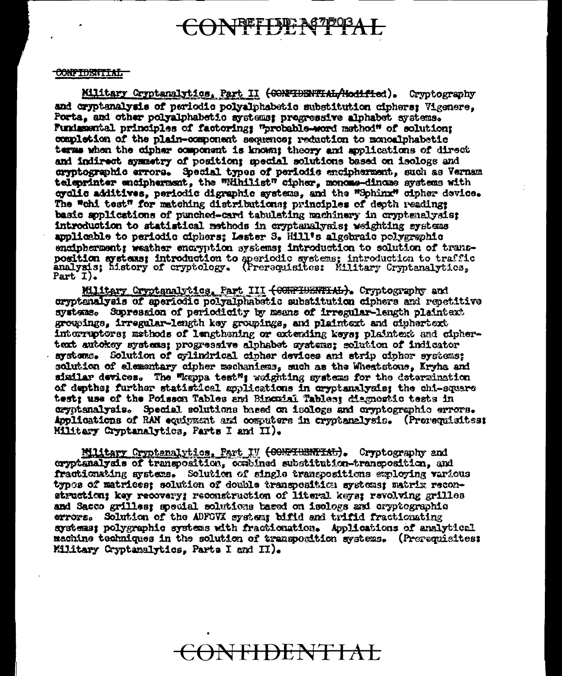### ONFFLER 17503

#### **CONFIDENTIAL**

Military Cryptenslytics, Part II (CONFIDENTIAL/Hodified). Cryptography and cryptanalysis of periodic polyalphabetic substitution ciphers; Vigenere, Porta. and other polyalphabetic systems: progressive alphabet systems. Fundamental principles of factorings "probable-word method" of solution: completion of the plain-component sequence: reduction to monoalphabetic terms when the cipher component is known; theory and applications of direct and indirect symmetry of position; special solutions based on isologs and cryptographic errors. Special types of periodic encipherment, such as Vernam teleprinter encipherment, the "Nihilist" cipher, monome-dinome systems with cyclic additives, periodic digraphic systems, and the "Sphinx" cipher device. The "chi test" for matching distributions; principles of depth reading; basic applications of punched-card tabulating machinery in cryptenalysis; introduction to statistical methods in cryptanalysis; weighting systems applicable to periodic ciphers: Lester S. Hill's algebraic polygraphic enginherment; weather engryption systems; introduction to solution of transposition systems; introduction to aperiodic systems; introduction to traffic analysis; history of cryptology. (Prerequisites: Military Cryptanalytics, Part  $I$ ).

Military Gryptanalytics, Part III (CONFIDENTIAL). Cryptography and cryptenalysis of speriodic polyalphabetic substitution ciphers and repetitive systems. Supression of periodicity by means of irregular-length plaintext grownings, irregular-length key grownings, and plaintext and ciphertext interrupters; methods of langthening or extending keys; plaintext and ciphertext autokey systems: progressive alphabet systems: solution of indicator systems. Solution of cylindrical cinher devices and strip cinher systems: solution of elementary cipher mechanisms, such as the Wheatstone, Kryha and similar devices. The "kappa test": weighting systems for the determination of depths; further statistical applications in cryptanalysis; the chi-square test; use of the Poisson Tables and Binemial Tables; diamostic tests in cryptenalysis. Special solutions based on isologs and cryptographic errors. Applications of RAM equipment and computers in cryptanalysis. (Prerequisites: Military Cryptanalytics, Parts I and II).

Military Cryptenalytics, Part IV (CONFINENTIAL). Cryptography and cryptenalysis of transposition, combined substitution-transposition, and fractionsting systems. Solution of single transpositions exploying various types of matrices; solution of double transposition systems; matrix reconstruction; key recovery; reconstruction of literal keys; revolving grilles and Sacco grilles: special solutions based on isologs and oryptographic errors. Solution of the ADFGVX system; bifid and trifid fractionating systems: polygraphic systems with fractionation. Applications of analytical machine techniques in the solution of transposition systems. (Prerequisites: Military Cryptamalytics. Parts I and II).

### **INFIDENTIAL**